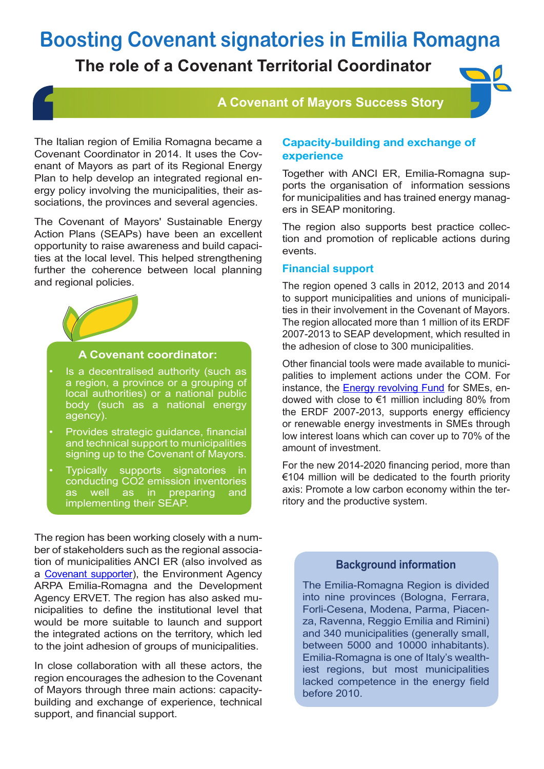# **Boosting Covenant signatories in Emilia Romagna**

### **The role of a Covenant Territorial Coordinator**

### **A Covenant of Mayors Success Story**

The Italian region of Emilia Romagna became a Covenant Coordinator in 2014. It uses the Covenant of Mayors as part of its Regional Energy Plan to help develop an integrated regional energy policy involving the municipalities, their associations, the provinces and several agencies.

The Covenant of Mayors' Sustainable Energy Action Plans (SEAPs) have been an excellent opportunity to raise awareness and build capacities at the local level. This helped strengthening further the coherence between local planning and regional policies.



#### **A Covenant coordinator:**

- Is a decentralised authority (such as a region, a province or a grouping of local authorities) or a national public body (such as a national energy agency).
- Provides strategic guidance, financial and technical support to municipalities signing up to the Covenant of Mayors.
- Typically supports signatories in conducting CO2 emission inventories as well as in preparing and implementing their SEAP.

The region has been working closely with a number of stakeholders such as the regional association of municipalities ANCI ER (also involved as a Covenant supporter), the Environment Agency ARPA Emilia-Romagna and the Development Agency ERVET. The region has also asked municipalities to define the institutional level that would be more suitable to launch and support the integrated actions on the territory, which led to the joint adhesion of groups of municipalities.

In close collaboration with all these actors, the region encourages the adhesion to the Covenant of Mayors through three main actions: capacitybuilding and exchange of experience, technical support, and financial support.

#### **Capacity-building and exchange of experience**

Together with ANCI ER, Emilia-Romagna supports the organisation of information sessions for municipalities and has trained energy managers in SEAP monitoring.

The region also supports best practice collection and promotion of replicable actions during events.

#### **Financial support**

The region opened 3 calls in 2012, 2013 and 2014 to support municipalities and unions of municipalities in their involvement in the Covenant of Mayors. The region allocated more than 1 million of its ERDF 2007-2013 to SEAP development, which resulted in the adhesion of close to 300 municipalities.

Other financial tools were made available to municipalities to implement actions under the COM. For instance, the **Energy revolving Fund** for SMEs, endowed with close to €1 million including 80% from the ERDF 2007-2013, supports energy efficiency or renewable energy investments in SMEs through low interest loans which can cover up to 70% of the amount of investment.

For the new 2014-2020 financing period, more than €104 million will be dedicated to the fourth priority axis: Promote a low carbon economy within the territory and the productive system.

#### **Background information**

The Emilia-Romagna Region is divided into nine provinces (Bologna, Ferrara, Forli-Cesena, Modena, Parma, Piacenza, Ravenna, Reggio Emilia and Rimini) and 340 municipalities (generally small, between 5000 and 10000 inhabitants). Emilia-Romagna is one of Italy's wealthiest regions, but most municipalities lacked competence in the energy field before 2010.